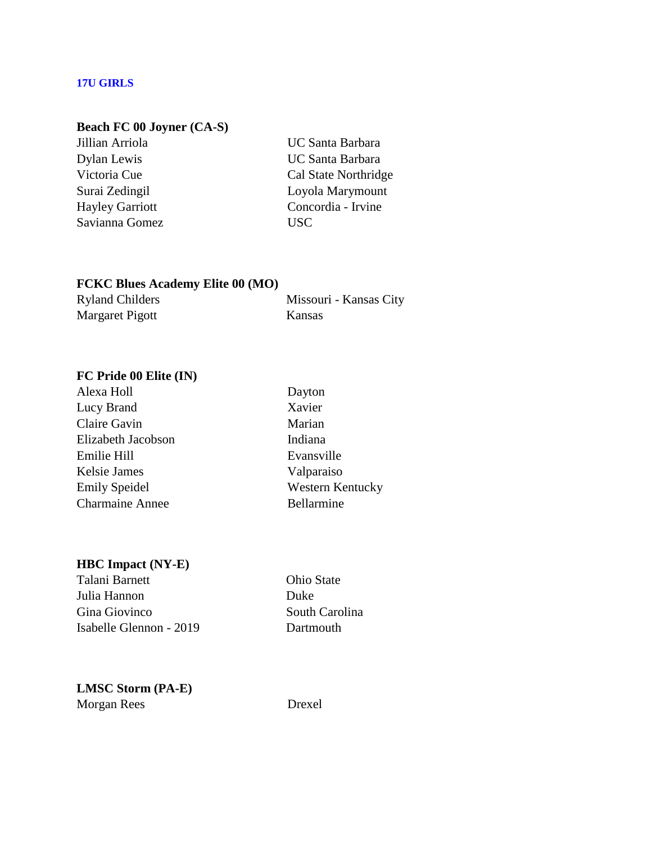#### **17U GIRLS**

## **Beach FC 00 Joyner (CA-S)**

Savianna Gomez USC

Jillian Arriola UC Santa Barbara Dylan Lewis UC Santa Barbara Victoria Cue Cal State Northridge Surai Zedingil Loyola Marymount Hayley Garriott Concordia - Irvine

## **FCKC Blues Academy Elite 00 (MO)** Ryland Childers Missouri - Kansas City Margaret Pigott Kansas

# **FC Pride 00 Elite (IN)**

| Alexa Holl             |  |
|------------------------|--|
| Lucy Brand             |  |
| Claire Gavin           |  |
| Elizabeth Jacobson     |  |
| Emilie Hill            |  |
| <b>Kelsie James</b>    |  |
| <b>Emily Speidel</b>   |  |
| <b>Charmaine Annee</b> |  |

Dayton Xavier Marian Indiana Evansville Valparaiso Western Kentucky Bellarmine

#### **HBC Impact (NY-E)**

Talani Barnett **Ohio State** Julia Hannon Duke Gina Giovinco South Carolina Isabelle Glennon - 2019 Dartmouth

**LMSC Storm (PA-E)** Morgan Rees Drexel